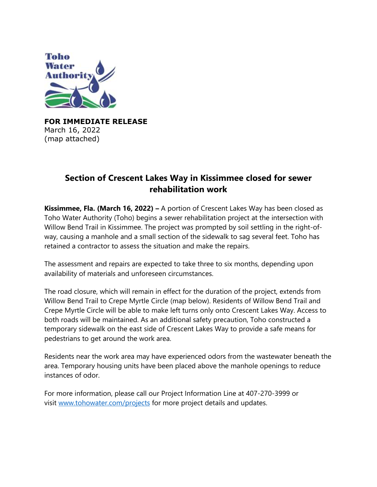

**FOR IMMEDIATE RELEASE**  March 16, 2022 (map attached)

## **Section of Crescent Lakes Way in Kissimmee closed for sewer rehabilitation work**

**Kissimmee, Fla. (March 16, 2022) –** A portion of Crescent Lakes Way has been closed as Toho Water Authority (Toho) begins a sewer rehabilitation project at the intersection with Willow Bend Trail in Kissimmee. The project was prompted by soil settling in the right-ofway, causing a manhole and a small section of the sidewalk to sag several feet. Toho has retained a contractor to assess the situation and make the repairs.

The assessment and repairs are expected to take three to six months, depending upon availability of materials and unforeseen circumstances.

The road closure, which will remain in effect for the duration of the project, extends from Willow Bend Trail to Crepe Myrtle Circle (map below). Residents of Willow Bend Trail and Crepe Myrtle Circle will be able to make left turns only onto Crescent Lakes Way. Access to both roads will be maintained. As an additional safety precaution, Toho constructed a temporary sidewalk on the east side of Crescent Lakes Way to provide a safe means for pedestrians to get around the work area.

Residents near the work area may have experienced odors from the wastewater beneath the area. Temporary housing units have been placed above the manhole openings to reduce instances of odor.

For more information, please call our Project Information Line at 407-270-3999 or visit www.tohowater.com/projects for more project details and updates.